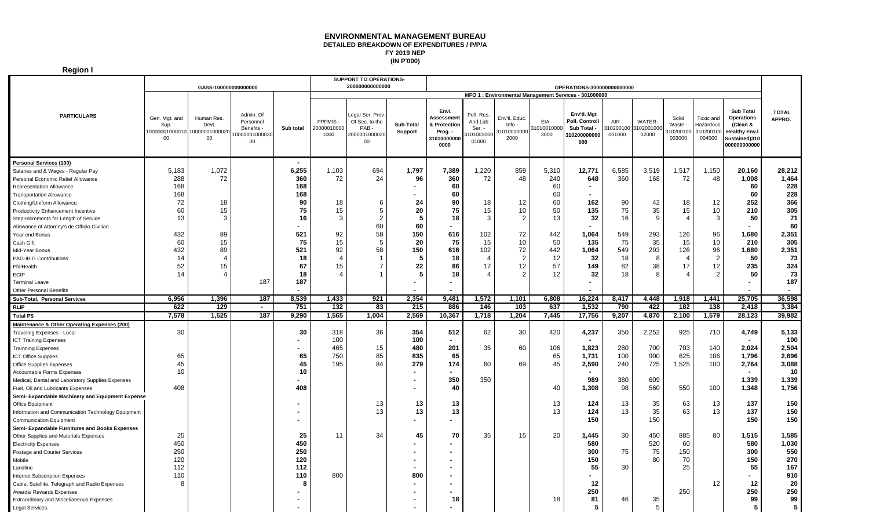## **DETAILED BREAKDOWN OF EXPENDITURES / P/P/A FY 2019 NEP (IN P'000) ENVIRONMENTAL MANAGEMENT BUREAU**

**Region I**

|                                                    | GASS-100000000000000                                        |                           |                                                                      |                |                               | SUPPORT TO OPERATIONS-<br>200000000000000<br>OPERATIONS-300000000000000 |                      |                                                                              |                                                       |                                                |                            |                                                                     |                                |                              |                                       |                                               |                                                                                                           |                        |
|----------------------------------------------------|-------------------------------------------------------------|---------------------------|----------------------------------------------------------------------|----------------|-------------------------------|-------------------------------------------------------------------------|----------------------|------------------------------------------------------------------------------|-------------------------------------------------------|------------------------------------------------|----------------------------|---------------------------------------------------------------------|--------------------------------|------------------------------|---------------------------------------|-----------------------------------------------|-----------------------------------------------------------------------------------------------------------|------------------------|
|                                                    |                                                             |                           |                                                                      |                |                               |                                                                         |                      |                                                                              | MFO 1 : Environmental Management Services - 301000000 |                                                |                            |                                                                     |                                |                              |                                       |                                               |                                                                                                           |                        |
| <b>PARTICULARS</b>                                 | Gen. Mgt. and<br>Sup.<br>10000001000010 1000000100002<br>00 | Human Res.<br>Devt.<br>00 | Admin, Of<br>Personnel<br><b>Benefits</b><br>0000001000030<br>$00\,$ | Sub total      | PPFMIS<br>20000010000<br>1000 | egal Ser. Prov.<br>Of Sec. to the<br>PAB<br>2000001000020<br>00         | Sub-Total<br>Support | Envi.<br><b>Assessment</b><br>& Protection<br>Prog. -<br>31010000000<br>0000 | Poll. Res.<br>And Lab<br>Ser. -<br>01001000<br>01000  | Env'tl. Educ.<br>Info.-<br>31010010000<br>2000 | EIA -<br>101001000<br>3000 | Env'tl. Mgt<br>Poll. Controll<br>Sub Total -<br>310200000000<br>000 | $AIR -$<br>310200100<br>001000 | WATER-<br>310200100<br>02000 | Solid<br>Waste<br>310200100<br>003000 | Toxic and<br>Hazardous<br>310200100<br>004000 | <b>Sub Total</b><br><b>Operations</b><br>(Clean &<br><b>Healthy Env.</b><br>Sustained)310<br>000000000000 | <b>TOTAL</b><br>APPRO. |
| <b>Personal Services (100)</b>                     |                                                             |                           |                                                                      | $\blacksquare$ |                               |                                                                         |                      |                                                                              |                                                       |                                                |                            |                                                                     |                                |                              |                                       |                                               |                                                                                                           |                        |
| Salaries and & Wages - Regular Pay                 | 5,183                                                       | 1,072                     |                                                                      | 6,255          | 1,103                         | 694                                                                     | 1,797                | 7,389                                                                        | 1,220                                                 | 859                                            | 5,310                      | 12.771                                                              | 6,585                          | 3,519                        | 1,517                                 | 1,150                                         | 20,160                                                                                                    | 28,212                 |
| Personal Economic Relief Allowance                 | 288                                                         | 72                        |                                                                      | 360            | 72                            | 24                                                                      | 96                   | 360                                                                          | 72                                                    | 48                                             | 240                        | 648                                                                 | 360                            | 168                          | 72                                    | 48                                            | 1,008                                                                                                     | 1,464                  |
| <b>Representation Allowance</b>                    | 168                                                         |                           |                                                                      | 168            |                               |                                                                         |                      | 60                                                                           |                                                       |                                                | 60                         |                                                                     |                                |                              |                                       |                                               | 60                                                                                                        | 228                    |
| <b>Transportation Allowance</b>                    | 168                                                         |                           |                                                                      | 168            |                               |                                                                         |                      | 60                                                                           |                                                       |                                                | 60                         |                                                                     |                                |                              |                                       |                                               | 60                                                                                                        | 228                    |
| Clothing/Uniform Allowance                         | 72                                                          | 18                        |                                                                      | 90             | 18                            | -6                                                                      | 24                   | 90                                                                           | 18                                                    | 12                                             | 60                         | 162                                                                 | 90                             | 42                           | 18                                    | 12                                            | 252                                                                                                       | 366                    |
| Productivity Enhancement Incentive                 | 60                                                          | 15                        |                                                                      | 75             | 15                            | 5                                                                       | 20                   | 75                                                                           | 15                                                    | 10                                             | 50                         | 135                                                                 | 75                             | 35                           | 15                                    | 10                                            | 210                                                                                                       | 305                    |
| Step-Increments for Length of Service              | 13                                                          | 3                         |                                                                      | 16             |                               | $\overline{2}$                                                          | 5                    | 18                                                                           | 3                                                     | $\overline{2}$                                 | 13                         | 32                                                                  | 16                             | 9                            | $\overline{4}$                        | 3                                             | 50                                                                                                        | 71                     |
| Allowance of Attorney's de Officio Civilian        |                                                             |                           |                                                                      |                |                               | 60                                                                      | 60                   |                                                                              |                                                       |                                                |                            |                                                                     |                                |                              |                                       |                                               | $\sim$                                                                                                    | 60                     |
| Year end Bonus                                     | 432                                                         | 89                        |                                                                      | 521            | 92                            | 58                                                                      | 150                  | 616                                                                          | 102                                                   | 72                                             | 442                        | 1,064                                                               | 549                            | 293                          | 126                                   | 96                                            | 1,680                                                                                                     | 2,351                  |
| Cash Gift                                          | 60                                                          | 15                        |                                                                      | 75             | 15                            | 5                                                                       | 20                   | 75                                                                           | 15                                                    | 10                                             | 50                         | 135                                                                 | 75                             | 35                           | 15                                    | 10                                            | 210                                                                                                       | 305                    |
| Mid-Year Bonus                                     | 432                                                         | 89                        |                                                                      | 521            | 92                            | 58                                                                      | 150                  | 616                                                                          | 102                                                   | 72                                             | 442                        | 1,064                                                               | 549                            | 293                          | 126                                   | 96                                            | 1,680                                                                                                     | 2,351                  |
| <b>PAG-IBIG Contributions</b>                      | 14                                                          | $\overline{4}$            |                                                                      | 18             |                               |                                                                         | 5                    | 18                                                                           | 4                                                     | $\overline{2}$                                 | 12                         | 32                                                                  | 18                             | 8                            | 4                                     | $\overline{2}$                                | 50                                                                                                        | 73                     |
| PhilHealth                                         | 52                                                          | 15                        |                                                                      | 67             | 15                            | - 7                                                                     | 22                   | 86                                                                           | 17                                                    | 12                                             | 57                         | 149                                                                 | 82                             | 38                           | 17                                    | 12                                            | 235                                                                                                       | 324                    |
| <b>ECIP</b>                                        | 14                                                          | $\boldsymbol{\Delta}$     |                                                                      | 18             |                               |                                                                         | 5                    | 18                                                                           |                                                       | $\overline{2}$                                 | 12                         | 32                                                                  | 18                             | 8                            |                                       | $\mathcal{P}$                                 | 50                                                                                                        | 73                     |
| <b>Terminal Leave</b>                              |                                                             |                           | 187                                                                  | 187            |                               |                                                                         |                      | $\blacksquare$                                                               |                                                       |                                                |                            |                                                                     |                                |                              |                                       |                                               | $\sim$                                                                                                    | 187                    |
| <b>Other Personal Benefits</b>                     |                                                             |                           |                                                                      |                |                               |                                                                         |                      |                                                                              |                                                       |                                                |                            |                                                                     |                                |                              |                                       |                                               |                                                                                                           |                        |
| Sub-Total, Personal Services                       | 6,956                                                       | 1,396                     | 187                                                                  | 8,539          | 1,433                         | 921                                                                     | 2,354                | 9,481                                                                        | 1,572                                                 | 1,101                                          | 6,808                      | 16,224                                                              | 8,417                          | 4,448                        | 1,918                                 | 1,441                                         | 25,705                                                                                                    | 36,598                 |
| <b>RLIP</b>                                        | 622                                                         | 129                       | $\blacksquare$                                                       | 751            | 132                           | 83                                                                      | 215                  | 886                                                                          | 146                                                   | 103                                            | 637                        | 1,532                                                               | 790                            | 422                          | 182                                   | 138                                           | 2.418                                                                                                     | 3,384                  |
| <b>Total PS</b>                                    | 7,578                                                       | 1,525                     | 187                                                                  | 9.290          | 1,565                         | 1,004                                                                   | 2,569                | 10,367                                                                       | 1,718                                                 | 1,204                                          | 7,445                      | 17,756                                                              | 9,207                          | 4,870                        | 2,100                                 | 1,579                                         | 28,123                                                                                                    | 39,982                 |
| Maintenance & Other Operating Expenses (200)       |                                                             |                           |                                                                      |                |                               |                                                                         |                      |                                                                              |                                                       |                                                |                            |                                                                     |                                |                              |                                       |                                               |                                                                                                           |                        |
| Traveling Expenses - Local                         | 30                                                          |                           |                                                                      | 30             | 318                           | 36                                                                      | 354                  | 512                                                                          | 62                                                    | 30                                             | 420                        | 4,237                                                               | 350                            | 2,252                        | 925                                   | 710                                           | 4,749                                                                                                     | 5,133                  |
| <b>ICT Training Expenses</b>                       |                                                             |                           |                                                                      |                | 100                           |                                                                         | 100                  | $\blacksquare$                                                               |                                                       |                                                |                            |                                                                     |                                |                              |                                       |                                               | $\sim$                                                                                                    | 100                    |
| <b>Trainning Expenses</b>                          |                                                             |                           |                                                                      |                | 465                           | 15                                                                      | 480                  | 201                                                                          | 35                                                    | 60                                             | 106                        | 1,823                                                               | 280                            | 700                          | 703                                   | 140                                           | 2,024                                                                                                     | 2,504                  |
| <b>ICT Office Supplies</b>                         | 65                                                          |                           |                                                                      | 65             | 750                           | 85                                                                      | 835                  | 65                                                                           |                                                       |                                                | 65                         | 1,731                                                               | 100                            | 900                          | 625                                   | 106                                           | 1,796                                                                                                     | 2,696                  |
| <b>Office Supplies Expenses</b>                    | 45                                                          |                           |                                                                      | 45             | 195                           | 84                                                                      | 279                  | 174                                                                          | 60                                                    | 69                                             | 45                         | 2,590                                                               | 240                            | 725                          | 1,525                                 | 100                                           | 2,764                                                                                                     | 3.088                  |
| Accountable Forms Expenses                         | 10                                                          |                           |                                                                      | 10             |                               |                                                                         | $\sim$               |                                                                              |                                                       |                                                |                            |                                                                     |                                |                              |                                       |                                               |                                                                                                           | 10                     |
| Medical, Dental and Laboratory Supplies Expenses   |                                                             |                           |                                                                      |                |                               |                                                                         |                      | 350                                                                          | 350                                                   |                                                |                            | 989                                                                 | 380                            | 609                          |                                       |                                               | 1,339                                                                                                     | 1,339                  |
| Fuel, Oil and Lubricants Expenses                  | 408                                                         |                           |                                                                      | 408            |                               |                                                                         | $\blacksquare$       | 40                                                                           |                                                       |                                                | 40                         | 1,308                                                               | 98                             | 560                          | 550                                   | 100                                           | 1,348                                                                                                     | 1,756                  |
| Semi- Expandable Machinery and Equipment Expense   |                                                             |                           |                                                                      |                |                               |                                                                         |                      |                                                                              |                                                       |                                                |                            |                                                                     |                                |                              |                                       |                                               |                                                                                                           |                        |
| Office Equipment                                   |                                                             |                           |                                                                      |                |                               | 13                                                                      | 13                   | 13                                                                           |                                                       |                                                | 13                         | 124                                                                 | 13                             | 35                           | 63                                    | 13                                            | 137                                                                                                       | 150                    |
|                                                    |                                                             |                           |                                                                      |                |                               | 13                                                                      | 13                   | 13                                                                           |                                                       |                                                | 13                         | 124                                                                 | 13                             | 35                           | 63                                    | 13                                            | 137                                                                                                       | 150                    |
| Information and Communication Technology Equipment |                                                             |                           |                                                                      |                |                               |                                                                         | ۰.                   |                                                                              |                                                       |                                                |                            | 150                                                                 |                                | 150                          |                                       |                                               | 150                                                                                                       | 150                    |
| <b>Communication Equipment</b>                     |                                                             |                           |                                                                      |                |                               |                                                                         |                      |                                                                              |                                                       |                                                |                            |                                                                     |                                |                              |                                       |                                               |                                                                                                           |                        |
| Semi- Expandable Furnitures and Books Expenses     | 25                                                          |                           |                                                                      | 25             | 11                            | 34                                                                      | 45                   | 70                                                                           | 35                                                    | 15                                             | 20                         | 1,445                                                               | 30                             | 450                          | 885                                   | 80                                            | 1,515                                                                                                     | 1,585                  |
| Other Supplies and Materials Expenses              | 450                                                         |                           |                                                                      | 450            |                               |                                                                         |                      |                                                                              |                                                       |                                                |                            | 580                                                                 |                                | 520                          | 60                                    |                                               | 580                                                                                                       | 1,030                  |
| <b>Electricity Expenses</b>                        | 250                                                         |                           |                                                                      | 250            |                               |                                                                         |                      |                                                                              |                                                       |                                                |                            | 300                                                                 | 75                             | 75                           | 150                                   |                                               | 300                                                                                                       | 550                    |
| Postage and Courier Services<br>Mobile             | 120                                                         |                           |                                                                      | 120            |                               |                                                                         |                      |                                                                              |                                                       |                                                |                            | 150                                                                 |                                | 80                           | 70                                    |                                               | 150                                                                                                       | 270                    |
|                                                    | 112                                                         |                           |                                                                      | 112            |                               |                                                                         |                      |                                                                              |                                                       |                                                |                            | 55                                                                  | 30                             |                              | 25                                    |                                               | 55                                                                                                        | 167                    |
| Landline                                           | 110                                                         |                           |                                                                      | 110            | 800                           |                                                                         | 800                  |                                                                              |                                                       |                                                |                            |                                                                     |                                |                              |                                       |                                               | $\blacksquare$                                                                                            | 910                    |
| <b>Internet Subscription Expenses</b>              | 3                                                           |                           |                                                                      | -8             |                               |                                                                         |                      |                                                                              |                                                       |                                                |                            | 12                                                                  |                                |                              |                                       | 12                                            | 12                                                                                                        | 20                     |
| Cable, Satellite, Telegraph and Radio Expenses     |                                                             |                           |                                                                      |                |                               |                                                                         |                      |                                                                              |                                                       |                                                |                            | 250                                                                 |                                |                              | 250                                   |                                               | 250                                                                                                       | 250                    |
| Awards/ Rewards Expenses                           |                                                             |                           |                                                                      |                |                               |                                                                         |                      |                                                                              |                                                       |                                                | 18                         | 81                                                                  | 46                             | 35                           |                                       |                                               |                                                                                                           | 99                     |
| Extraordinary and Miscellaneous Expenses           |                                                             |                           |                                                                      |                |                               |                                                                         |                      | 18                                                                           |                                                       |                                                |                            |                                                                     |                                | 5                            |                                       |                                               | 99<br>5                                                                                                   | 5                      |
| Legal Services                                     |                                                             |                           |                                                                      |                |                               |                                                                         |                      |                                                                              |                                                       |                                                |                            |                                                                     |                                |                              |                                       |                                               |                                                                                                           |                        |